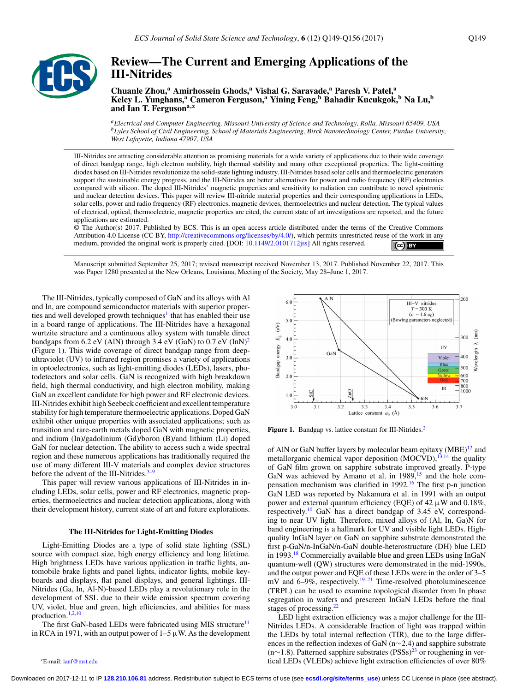

# **Review—The Current and Emerging Applications of the III-Nitrides**

**Chuanle Zhou,<sup>a</sup> Amirhossein Ghods,a Vishal G. Saravade,<sup>a</sup> Paresh V. Patel,a Kelcy L. Yunghans,a Cameron Ferguson,<sup>a</sup> Yining Feng,<sup>b</sup> Bahadir Kucukgok,<sup>b</sup> Na Lu,<sup>b</sup> and Ian T. Fergusona[,z](#page-0-0)**

*aElectrical and Computer Engineering, Missouri University of Science and Technology, Rolla, Missouri 65409, USA bLyles School of Civil Engineering, School of Materials Engineering, Birck Nanotechnology Center, Purdue University, West Lafayette, Indiana 47907, USA*

III-Nitrides are attracting considerable attention as promising materials for a wide variety of applications due to their wide coverage of direct bandgap range, high electron mobility, high thermal stability and many other exceptional properties. The light-emitting diodes based on III-Nitrides revolutionize the solid-state lighting industry. III-Nitrides based solar cells and thermoelectric generators support the sustainable energy progress, and the III-Nitrides are better alternatives for power and radio frequency (RF) electronics compared with silicon. The doped III-Nitrides' magnetic properties and sensitivity to radiation can contribute to novel spintronic and nuclear detection devices. This paper will review III-nitride material properties and their corresponding applications in LEDs, solar cells, power and radio frequency (RF) electronics, magnetic devices, thermoelectrics and nuclear detection. The typical values of electrical, optical, thermoelectric, magnetic properties are cited, the current state of art investigations are reported, and the future applications are estimated.

© The Author(s) 2017. Published by ECS. This is an open access article distributed under the terms of the Creative Commons Attribution 4.0 License (CC BY, [http://creativecommons.org/licenses/by/4.0/\)](http://creativecommons.org/licenses/by/4.0/), which permits unrestricted reuse of the work in any medium, provided the original work is properly cited. [DOI: [10.1149/2.0101712jss\]](http://dx.doi.org/10.1149/2.0101712jss) All rights reserved.  $\left(\text{ce}\right)$  BY

Manuscript submitted September 25, 2017; revised manuscript received November 13, 2017. Published November 22, 2017. This was Paper 1280 presented at the New Orleans, Louisiana, Meeting of the Society, May 28–June 1, 2017.

The III-Nitrides, typically composed of GaN and its alloys with Al and In, are compound semiconductor materials with superior properties and well developed growth techniques<sup>1</sup> that has enabled their use in a board range of applications. The III-Nitrides have a hexagonal wurtzite structure and a continuous alloy system with tunable direct bandgaps from 6.2 eV (AlN) through 3.4 eV (GaN) to 0.7 eV (InN)<sup>2</sup> (Figure [1\)](#page-0-1). This wide coverage of direct bandgap range from deepultraviolet (UV) to infrared region promises a variety of applications in optoelectronics, such as light-emitting diodes (LEDs), lasers, photodetectors and solar cells. GaN is recognized with high breakdown field, high thermal conductivity, and high electron mobility, making GaN an excellent candidate for high power and RF electronic devices. III-Nitrides exhibit high Seebeck coefficient and excellent temperature stability for high temperature thermoelectric applications. Doped GaN exhibit other unique properties with associated applications; such as transition and rare-earth metals doped GaN with magnetic properties, and indium (In)/gadolinium (Gd)/boron (B)/and lithium (Li) doped GaN for nuclear detection. The ability to access such a wide spectral region and these numerous applications has traditionally required the use of many different III-V materials and complex device structures before the advent of the III-Nitrides. $3-9$ 

This paper will review various applications of III-Nitrides in including LEDs, solar cells, power and RF electronics, magnetic properties, thermoelectrics and nuclear detection applications, along with their development history, current state of art and future explorations.

### **The III-Nitrides for Light-Emitting Diodes**

Light-Emitting Diodes are a type of solid state lighting (SSL) source with compact size, high energy efficiency and long lifetime. High brightness LEDs have various application in traffic lights, automobile brake lights and panel lights, indicator lights, mobile keyboards and displays, flat panel displays, and general lightings. III-Nitrides (Ga, In, Al-N)-based LEDs play a revolutionary role in the development of SSL due to their wide emission spectrum covering UV, violet, blue and green, high efficiencies, and abilities for mass production.[1,](#page-6-0)[2](#page-6-1)[,10](#page-6-4)

The first GaN-based LEDs were fabricated using MIS structure $11$ in RCA in 1971, with an output power of  $1-5 \mu W$ . As the development

<span id="page-0-0"></span>zE-mail: [ianf@mst.edu](mailto:ianf@mst.edu)

<span id="page-0-1"></span>

Figure 1. Bandgap vs. lattice constant for III-Nitrides.<sup>2</sup>

of AlN or GaN buffer layers by molecular beam epitaxy (MBE)<sup>12</sup> and metallorganic chemical vapor deposition (MOCVD),<sup>[13,](#page-6-7)[14](#page-6-8)</sup> the quality of GaN film grown on sapphire substrate improved greatly. P-type GaN was achieved by Amano et al. in 1989,<sup>15</sup> and the hole compensation mechanism was clarified in 1992.[16](#page-6-10) The first p-n junction GaN LED was reported by Nakamura et al. in 1991 with an output power and external quantum efficiency (EQE) of 42  $\mu$ W and 0.18%, respectively.[10](#page-6-4) GaN has a direct bandgap of 3.45 eV, corresponding to near UV light. Therefore, mixed alloys of (Al, In, Ga)N for band engineering is a hallmark for UV and visible light LEDs. Highquality InGaN layer on GaN on sapphire substrate demonstrated the first p-GaN/n-InGaN/n-GaN double-heterostructure (DH) blue LED in 1993.<sup>18</sup> Commercially available blue and green LEDs using InGaN quantum-well (QW) structures were demonstrated in the mid-1990s, and the output power and EQE of these LEDs were in the order of 3–5 mV and  $6-9\%$ , respectively.<sup>19–[21](#page-6-13)</sup> Time-resolved photoluminescence (TRPL) can be used to examine topological disorder from In phase segregation in wafers and prescreen InGaN LEDs before the final stages of processing[.22](#page-6-14)

LED light extraction efficiency was a major challenge for the III-Nitrides LEDs. A considerable fraction of light was trapped within the LEDs by total internal reflection (TIR), due to the large differences in the reflection indexes of GaN (n∼2.4) and sapphire substrate  $(n~1.8)$ . Patterned sapphire substrates (PSSs)<sup>[23](#page-6-15)</sup> or roughening in vertical LEDs (VLEDs) achieve light extraction efficiencies of over 80%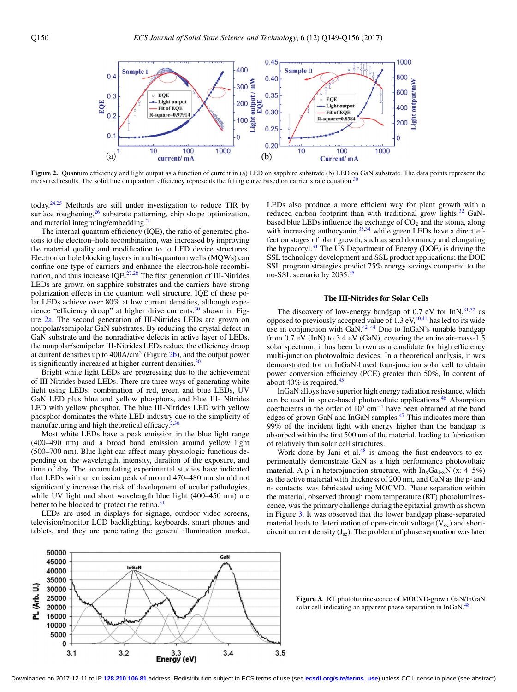<span id="page-1-0"></span>

Figure 2. Quantum efficiency and light output as a function of current in (a) LED on sapphire substrate (b) LED on GaN substrate. The data points represent the measured results. The solid line on quantum efficiency represents the fitting curve based on carrier's rate equation.<sup>30</sup>

today.<sup>24,[25](#page-6-18)</sup> Methods are still under investigation to reduce TIR by surface roughening, $26$  substrate patterning, chip shape optimization, and material integrating/embedding.<sup>2</sup>

The internal quantum efficiency (IQE), the ratio of generated photons to the electron–hole recombination, was increased by improving the material quality and modification to to LED device structures. Electron or hole blocking layers in multi-quantum wells (MQWs) can confine one type of carriers and enhance the electron-hole recombi-nation, and thus increase IQE.<sup>[27,](#page-6-20)[28](#page-6-21)</sup> The first generation of III-Nitrides LEDs are grown on sapphire substrates and the carriers have strong polarization effects in the quantum well structure. IQE of these polar LEDs achieve over 80% at low current densities, although experience "efficiency droop" at higher drive currents, $30$  shown in Figure [2a.](#page-1-0) The second generation of III-Nitrides LEDs are grown on nonpolar/semipolar GaN substrates. By reducing the crystal defect in GaN substrate and the nonradiative defects in active layer of LEDs, the nonpolar/semipolar III-Nitrides LEDs reduce the efficiency droop at current densities up to  $400A/cm<sup>2</sup>$  (Figure [2b\)](#page-1-0), and the output power is significantly increased at higher current densities.<sup>30</sup>

Bright white light LEDs are progressing due to the achievement of III-Nitrides based LEDs. There are three ways of generating white light using LEDs: combination of red, green and blue LEDs, UV GaN LED plus blue and yellow phosphors, and blue III- Nitrides LED with yellow phosphor. The blue III-Nitrides LED with yellow phosphor dominates the white LED industry due to the simplicity of manufacturing and high theoretical efficacy. $2,3$ 

Most white LEDs have a peak emission in the blue light range (400–490 nm) and a broad band emission around yellow light (500–700 nm). Blue light can affect many physiologic functions depending on the wavelength, intensity, duration of the exposure, and time of day. The accumulating experimental studies have indicated that LEDs with an emission peak of around 470–480 nm should not significantly increase the risk of development of ocular pathologies, while UV light and short wavelength blue light (400–450 nm) are better to be blocked to protect the retina.<sup>31</sup>

LEDs are used in displays for signage, outdoor video screens, television/monitor LCD backlighting, keyboards, smart phones and tablets, and they are penetrating the general illumination market. LEDs also produce a more efficient way for plant growth with a reduced carbon footprint than with traditional grow lights. $32$  GaNbased blue LEDs influence the exchange of  $CO<sub>2</sub>$  and the stoma, along with increasing anthocyanin,<sup>[33](#page-6-24)[,34](#page-6-25)</sup> while green LEDs have a direct effect on stages of plant growth, such as seed dormancy and elongating the hypocotyl.<sup>34</sup> The US Department of Energy (DOE) is driving the SSL technology development and SSL product applications; the DOE SSL program strategies predict 75% energy savings compared to the no-SSL scenario by 2035.<sup>35</sup>

#### **The III-Nitrides for Solar Cells**

The discovery of low-energy bandgap of 0.7 eV for  $InN<sub>1</sub><sup>31,32</sup>$  $InN<sub>1</sub><sup>31,32</sup>$  $InN<sub>1</sub><sup>31,32</sup>$  as opposed to previously accepted value of  $1.3 \text{ eV},^{40,41}$  $1.3 \text{ eV},^{40,41}$  $1.3 \text{ eV},^{40,41}$  has led to its wide use in conjunction with  $GaN$ .<sup>[42](#page-6-29)[–44](#page-6-30)</sup> Due to InGaN's tunable bandgap from 0.7 eV (InN) to 3.4 eV (GaN), covering the entire air-mass-1.5 solar spectrum, it has been known as a candidate for high efficiency multi-junction photovoltaic devices. In a theoretical analysis, it was demonstrated for an InGaN-based four-junction solar cell to obtain power conversion efficiency (PCE) greater than 50%, In content of about  $40\%$  is required.<sup>[45](#page-6-31)</sup>

InGaN alloys have superior high energy radiation resistance, which can be used in space-based photovoltaic applications.<sup>[46](#page-6-32)</sup> Absorption coefficients in the order of  $10^5$  cm<sup>-1</sup> have been obtained at the band edges of grown GaN and InGaN samples.<sup>47</sup> This indicates more than 99% of the incident light with energy higher than the bandgap is absorbed within the first 500 nm of the material, leading to fabrication of relatively thin solar cell structures.

Work done by Jani et al. $48$  is among the first endeavors to experimentally demonstrate GaN as a high performance photovoltaic material. A p-i-n heterojunction structure, with  $In_xGa_{1-x}N(x: 4-5\%)$ as the active material with thickness of 200 nm, and GaN as the p- and n- contacts, was fabricated using MOCVD. Phase separation within the material, observed through room temperature (RT) photoluminescence, was the primary challenge during the epitaxial growth as shown in Figure [3.](#page-1-1) It was observed that the lower bandgap phase-separated material leads to deterioration of open-circuit voltage  $(V_{oc})$  and shortcircuit current density  $(J_{sc})$ . The problem of phase separation was later

<span id="page-1-1"></span>

**Figure 3.** RT photoluminescence of MOCVD-grown GaN/InGaN solar cell indicating an apparent phase separation in InGaN.<sup>[48](#page-6-34)</sup>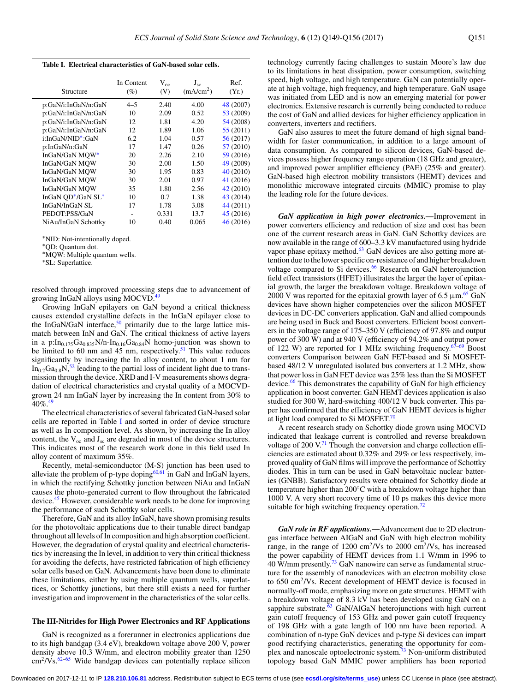<span id="page-2-4"></span>**Table I. Electrical characteristics of GaN-based solar cells.**

| Structure                     | In Content<br>$(\%)$ | $V_{oc}$<br>(V) | $J_{sc}$<br>(mA/cm <sup>2</sup> ) | Ref.<br>(Yr) |
|-------------------------------|----------------------|-----------------|-----------------------------------|--------------|
| p:GaN/i:InGaN/n:GaN           | $4 - 5$              | 2.40            | 4.00                              | 48 (2007)    |
| p:GaN/i:InGaN/n:GaN           | 10                   | 2.09            | 0.52                              | 53 (2009)    |
| p:GaN/i:InGaN/n:GaN           | 12                   | 1.81            | 4.20                              | 54 (2008)    |
| p:GaN/i:InGaN/n:GaN           | 12                   | 1.89            | 1.06                              | 55(2011)     |
| i:InGaN/NID <sup>*</sup> :GaN | 6.2                  | 1.04            | 0.57                              | 56(2017)     |
| p:InGaN/n:GaN                 | 17                   | 1.47            | 0.26                              | 57 (2010)    |
| InGaN/GaN MOW*                | 20                   | 2.26            | 2.10                              | 59 (2016)    |
| InGaN/GaN MOW                 | 30                   | 2.00            | 1.50                              | 49 (2009)    |
| InGaN/GaN MOW                 | 30                   | 1.95            | 0.83                              | 40 (2010)    |
| InGaN/GaN MOW                 | 30                   | 2.01            | 0.97                              | 41 (2016)    |
| InGaN/GaN MOW                 | 35                   | 1.80            | 2.56                              | 42 (2010)    |
| InGaN OD*/GaN SL*             | 10                   | 0.7             | 1.38                              | 43 (2014)    |
| InGaN/InGaN SL                | 17                   | 1.78            | 3.08                              | 44 (2011)    |
| PEDOT:PSS/GaN                 |                      | 0.331           | 13.7                              | 45 (2016)    |
| NiAu/InGaN Schottky           | 10                   | 0.40            | 0.065                             | 46 (2016)    |

<span id="page-2-0"></span>∗NID: Not-intentionally doped.

<span id="page-2-2"></span>∗QD: Quantum dot.

<span id="page-2-1"></span>∗MQW: Multiple quantum wells.

<span id="page-2-3"></span>∗SL: Superlattice.

resolved through improved processing steps due to advancement of growing InGaN alloys using MOCVD.<sup>[49](#page-6-41)</sup>

Growing InGaN epilayers on GaN beyond a critical thickness causes extended crystalline defects in the InGaN epilayer close to the InGaN/GaN interface,  $50$  primarily due to the large lattice mismatch between InN and GaN. The critical thickness of active layers in a p:In<sub>0.175</sub>Ga<sub>0.835</sub>N/n-In<sub>0.16</sub>Ga<sub>0.84</sub>N homo-junction was shown to be limited to 60 nm and 45 nm, respectively.<sup>[51](#page-6-44)</sup> This value reduces significantly by increasing the In alloy content, to about 1 nm for  $In_{0.2}Ga_{0.8}N^{52}$  leading to the partial loss of incident light due to transmission through the device. XRD and I-V measurements shows degradation of electrical characteristics and crystal quality of a MOCVDgrown 24 nm InGaN layer by increasing the In content from 30% to  $40\%$ <sup>49</sup>

The electrical characteristics of several fabricated GaN-based solar cells are reported in Table [I](#page-2-4) and sorted in order of device structure as well as In composition level. As shown, by increasing the In alloy content, the  $V_{\text{oc}}$  and  $J_{\text{sc}}$  are degraded in most of the device structures. This indicates most of the research work done in this field used In alloy content of maximum 35%.

Recently, metal-semiconductor (M-S) junction has been used to alleviate the problem of p-type doping $60,61$  $60,61$  in GaN and InGaN layers, in which the rectifying Schottky junction between NiAu and InGaN causes the photo-generated current to flow throughout the fabricated device.[45](#page-6-31) However, considerable work needs to be done for improving the performance of such Schottky solar cells.

Therefore, GaN and its alloy InGaN, have shown promising results for the photovoltaic applications due to their tunable direct bandgap throughout all levels of In composition and high absorption coefficient. However, the degradation of crystal quality and electrical characteristics by increasing the In level, in addition to very thin critical thickness for avoiding the defects, have restricted fabrication of high efficiency solar cells based on GaN. Advancements have been done to eliminate these limitations, either by using multiple quantum wells, superlattices, or Schottky junctions, but there still exists a need for further investigation and improvement in the characteristics of the solar cells.

## **The III-Nitrides for High Power Electronics and RF Applications**

GaN is recognized as a forerunner in electronics applications due to its high bandgap (3.4 eV), breakdown voltage above 200 V, power density above 10.3 W/mm, and electron mobility greater than 1250  $\text{cm}^2/\text{Vs}$ .<sup>62[–65](#page-6-49)</sup> Wide bandgap devices can potentially replace silicon technology currently facing challenges to sustain Moore's law due to its limitations in heat dissipation, power consumption, switching speed, high voltage, and high temperature. GaN can potentially operate at high voltage, high frequency, and high temperature. GaN usage was initiated from LED and is now an emerging material for power electronics. Extensive research is currently being conducted to reduce the cost of GaN and allied devices for higher efficiency application in converters, inverters and rectifiers.

GaN also assures to meet the future demand of high signal bandwidth for faster communication, in addition to a large amount of data consumption. As compared to silicon devices, GaN-based devices possess higher frequency range operation (18 GHz and greater), and improved power amplifier efficiency (PAE) (25% and greater). GaN-based high electron mobility transistors (HEMT) devices and monolithic microwave integrated circuits (MMIC) promise to play the leading role for the future devices.

*GaN application in high power electronics.—*Improvement in power converters efficiency and reduction of size and cost has been one of the current research areas in GaN. GaN Schottky devices are now available in the range of 600–3.3 kV manufactured using hydride vapor phase epitaxy method. $63$  GaN devices are also getting more attention due to the lower specific on-resistance of and higher breakdown voltage compared to Si devices.<sup>66</sup> Research on GaN heterojunction field effect transistors (HFET) illustrates the larger the layer of epitaxial growth, the larger the breakdown voltage. Breakdown voltage of 2000 V was reported for the epitaxial growth layer of 6.5  $\mu$ m.<sup>65</sup> GaN devices have shown higher competencies over the silicon MOSFET devices in DC-DC converters application. GaN and allied compounds are being used in Buck and Boost converters. Efficient boost converters in the voltage range of 175–350 V (efficiency of 97.8% and output power of 300 W) and at 940 V (efficiency of 94.2% and output power of 122 W) are reported for 1 MHz switching frequency.[67](#page-6-52)[–69](#page-6-53) Boost converters Comparison between GaN FET-based and Si MOSFETbased 48/12 V unregulated isolated bus converters at 1.2 MHz, show that power loss in GaN FET device was 25% less than the Si MOSFET device.<sup>[66](#page-6-51)</sup> This demonstrates the capability of GaN for high efficiency application in boost converter. GaN HEMT devices application is also studied for 300 W, hard-switching 400/12 V buck converter. This paper has confirmed that the efficiency of GaN HEMT devices is higher at light load compared to Si MOSFET.<sup>70</sup>

A recent research study on Schottky diode grown using MOCVD indicated that leakage current is controlled and reverse breakdown voltage of 200  $V<sup>71</sup>$  Though the conversion and charge collection efficiencies are estimated about 0.32% and 29% or less respectively, improved quality of GaN films will improve the performance of Schottky diodes. This in turn can be used in GaN betavoltaic nuclear batteries (GNBB). Satisfactory results were obtained for Schottky diode at temperature higher than 200◦C with a breakdown voltage higher than 1000 V. A very short recovery time of 10 ps makes this device more suitable for high switching frequency operation.<sup>[72](#page-6-56)</sup>

*GaN role in RF applications.—*Advancement due to 2D electrongas interface between AIGaN and GaN with high electron mobility range, in the range of  $1200 \text{ cm}^2/\text{Vs}$  to  $2000 \text{ cm}^2/\text{Vs}$ , has increased the power capability of HEMT devices from 1.1 W/mm in 1996 to 40 W/mm presently.[73](#page-6-57) GaN nanowire can serve as fundamental structure for the assembly of nanodevices with an electron mobility close to 650 cm2/Vs. Recent development of HEMT device is focused in normally-off mode, emphasizing more on gate structures. HEMT with a breakdown voltage of 8.3 kV has been developed using GaN on a sapphire substrate. $63$  GaN/AlGaN heterojunctions with high current gain cutoff frequency of 153 GHz and power gain cutoff frequency of 198 GHz with a gate length of 100 nm have been reported. A combination of n-type GaN devices and p-type Si devices can impart good rectifying characteristics, generating the opportunity for complex and nanoscale optoelectronic system.[73](#page-6-57) Non-uniform distributed topology based GaN MMIC power amplifiers has been reported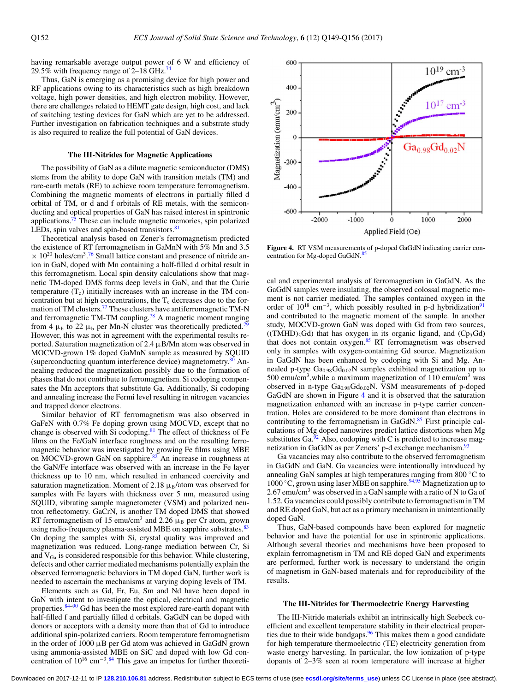having remarkable average output power of 6 W and efficiency of 29.5% with frequency range of  $2-18$  GHz.<sup>74</sup>

Thus, GaN is emerging as a promising device for high power and RF applications owing to its characteristics such as high breakdown voltage, high power densities, and high electron mobility. However, there are challenges related to HEMT gate design, high cost, and lack of switching testing devices for GaN which are yet to be addressed. Further investigation on fabrication techniques and a substrate study is also required to realize the full potential of GaN devices.

### **The III-Nitrides for Magnetic Applications**

The possibility of GaN as a dilute magnetic semiconductor (DMS) stems from the ability to dope GaN with transition metals (TM) and rare-earth metals (RE) to achieve room temperature ferromagnetism. Combining the magnetic moments of electrons in partially filled d orbital of TM, or d and f orbitals of RE metals, with the semiconducting and optical properties of GaN has raised interest in spintronic applications.<sup>[75](#page-6-59)</sup> These can include magnetic memories, spin polarized LEDs, spin valves and spin-based transistors.<sup>81</sup>

Theoretical analysis based on Zener's ferromagnetism predicted the existence of RT ferromagnetism in GaMnN with 5% Mn and 3.5  $\times$  10<sup>20</sup> holes/cm<sup>3</sup>.<sup>[76](#page-6-61)</sup> Small lattice constant and presence of nitride anion in GaN, doped with Mn containing a half-filled d orbital result in this ferromagnetism. Local spin density calculations show that magnetic TM-doped DMS forms deep levels in GaN, and that the Curie temperature  $(T_c)$  initially increases with an increase in the TM concentration but at high concentrations, the  $T_c$  decreases due to the for-mation of TM clusters.<sup>[77](#page-6-62)</sup> These clusters have antiferromagnetic TM-N and ferromagnetic TM-TM coupling.<sup>78</sup> A magnetic moment ranging from 4  $\mu_b$  to 22  $\mu_b$  per Mn-N cluster was theoretically predicted.<sup>7</sup> However, this was not in agreement with the experimental results reported. Saturation magnetization of 2.4 μB/Mn atom was observed in MOCVD-grown 1% doped GaMnN sample as measured by SQUID (superconducting quantum interference device) magnetometry.<sup>[80](#page-6-65)</sup> Annealing reduced the magnetization possibly due to the formation of phases that do not contribute to ferromagnetism. Si codoping compensates the Mn acceptors that substitute Ga. Additionally, Si codoping and annealing increase the Fermi level resulting in nitrogen vacancies and trapped donor electrons.

Similar behavior of RT ferromagnetism was also observed in GaFeN with 0.7% Fe doping grown using MOCVD, except that no change is observed with Si codoping. $81$  The effect of thickness of Fe films on the Fe/GaN interface roughness and on the resulting ferromagnetic behavior was investigated by growing Fe films using MBE on MOCVD-grown GaN on sapphire. $82$  An increase in roughness at the GaN/Fe interface was observed with an increase in the Fe layer thickness up to 10 nm, which resulted in enhanced coercivity and saturation magnetization. Moment of 2.18  $\mu_B$ /atom was observed for samples with Fe layers with thickness over 5 nm, measured using SQUID, vibrating sample magnetometer (VSM) and polarized neutron reflectometry. GaCrN, is another TM doped DMS that showed RT ferromagnetism of 15 emu/cm<sup>3</sup> and 2.26  $\mu_B$  per Cr atom, grown using radio-frequency plasma-assisted MBE on sapphire substrates.<sup>[83](#page-7-1)</sup> On doping the samples with Si, crystal quality was improved and magnetization was reduced. Long-range mediation between Cr, Si and  $V_{Ga}$  is considered responsible for this behavior. While clustering, defects and other carrier mediated mechanisms potentially explain the observed ferromagnetic behaviors in TM doped GaN, further work is needed to ascertain the mechanisms at varying doping levels of TM.

Elements such as Gd, Er, Eu, Sm and Nd have been doped in GaN with intent to investigate the optical, electrical and magnetic properties.<sup>84[–90](#page-7-3)</sup> Gd has been the most explored rare-earth dopant with half-filled f and partially filled d orbitals. GaGdN can be doped with donors or acceptors with a density more than that of Gd to introduce additional spin-polarized carriers. Room temperature ferromagnetism in the order of 1000 μB per Gd atom was achieved in GaGdN grown using ammonia-assisted MBE on SiC and doped with low Gd concentration of  $10^{16}$  cm<sup>-3</sup>.<sup>[84](#page-7-2)</sup> This gave an impetus for further theoreti-

<span id="page-3-0"></span>

**Figure 4.** RT VSM measurements of p-doped GaGdN indicating carrier concentration for Mg-doped GaGdN.<sup>85</sup>

cal and experimental analysis of ferromagnetism in GaGdN. As the GaGdN samples were insulating, the observed colossal magnetic moment is not carrier mediated. The samples contained oxygen in the order of  $10^{18}$  cm<sup>-3</sup>, which possibly resulted in p-d hybridization<sup>91</sup> and contributed to the magnetic moment of the sample. In another study, MOCVD-grown GaN was doped with Gd from two sources,  $((TMHD)_3Gd)$  that has oxygen in its organic ligand, and  $(Cp_3Gd)$ that does not contain oxygen. $85$  RT ferromagnetism was observed only in samples with oxygen-containing Gd source. Magnetization in GaGdN has been enhanced by codoping with Si and Mg. Annealed p-type  $Ga<sub>0.98</sub>Gd<sub>0.02</sub>N$  samples exhibited magnetization up to 500 emu/cm<sup>3</sup>, while a maximum magnetization of 110 emu/cm<sup>3</sup> was observed in n-type  $Ga<sub>0.98</sub>Gd<sub>0.02</sub>N$ . VSM measurements of p-doped GaGdN are shown in Figure [4](#page-3-0) and it is observed that the saturation magnetization enhanced with an increase in p-type carrier concentration. Holes are considered to be more dominant than electrons in contributing to the ferromagnetism in GaGdN. $85$  First principle calculations of Mg doped nanowires predict lattice distortions when Mg substitutes  $Ga^{92}$  Also, codoping with C is predicted to increase magnetization in GaGdN as per Zeners' p-d exchange mechanism.<sup>93</sup>

Ga vacancies may also contribute to the observed ferromagnetism in GaGdN and GaN. Ga vacancies were intentionally introduced by annealing GaN samples at high temperatures ranging from 800 ◦C to 1000 °C, grown using laser MBE on sapphire.<sup>94[,95](#page-7-9)</sup> Magnetization up to 2.67 emu/cm<sup>3</sup> was observed in a GaN sample with a ratio of N to Ga of 1.52. Ga vacancies could possibly contribute to ferromagnetism in TM and RE doped GaN, but act as a primary mechanism in unintentionally doped GaN.

Thus, GaN-based compounds have been explored for magnetic behavior and have the potential for use in spintronic applications. Although several theories and mechanisms have been proposed to explain ferromagnetism in TM and RE doped GaN and experiments are performed, further work is necessary to understand the origin of magnetism in GaN-based materials and for reproducibility of the results.

#### **The III-Nitrides for Thermoelectric Energy Harvesting**

The III-Nitride materials exhibit an intrinsically high Seebeck coefficient and excellent temperature stability in their electrical properties due to their wide bandgaps. $96$  This makes them a good candidate for high temperature thermoelectric (TE) electricity generation from waste energy harvesting. In particular, the low ionization of p-type dopants of 2–3% seen at room temperature will increase at higher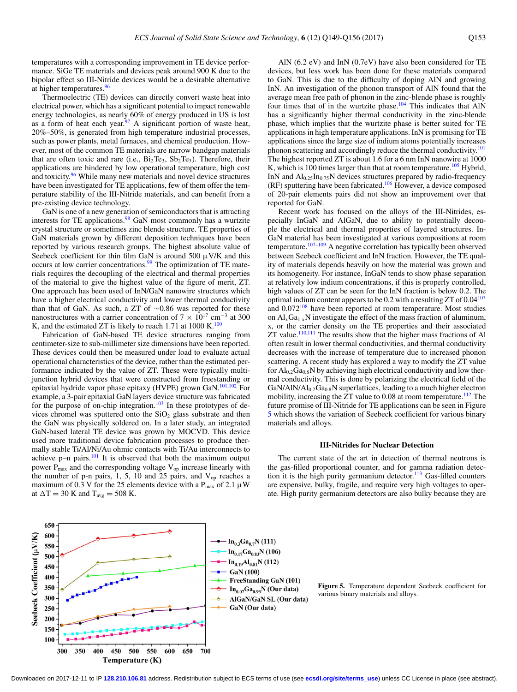temperatures with a corresponding improvement in TE device performance. SiGe TE materials and devices peak around 900 K due to the bipolar effect so III-Nitride devices would be a desirable alternative at higher temperatures.<sup>[96](#page-7-10)</sup>

Thermoelectric (TE) devices can directly convert waste heat into electrical power, which has a significant potential to impact renewable energy technologies, as nearly 60% of energy produced in US is lost as a form of heat each year. $97$  A significant portion of waste heat, 20%–50%, is generated from high temperature industrial processes, such as power plants, metal furnaces, and chemical production. However, most of the common TE materials are narrow bandgap materials that are often toxic and rare (i.e.,  $Bi_2Te_3$ ,  $Sb_2Te_3$ ). Therefore, their applications are hindered by low operational temperature, high cost and toxicity.<sup>[96](#page-7-10)</sup> While many new materials and novel device structures have been investigated for TE applications, few of them offer the temperature stability of the III-Nitride materials, and can benefit from a pre-existing device technology.

GaN is one of a new generation of semiconductors that is attracting interests for TE applications.<sup>98</sup> GaN most commonly has a wurtzite crystal structure or sometimes zinc blende structure. TE properties of GaN materials grown by different deposition techniques have been reported by various research groups. The highest absolute value of Seebeck coefficient for thin film GaN is around 500  $\mu$ V/K and this occurs at low carrier concentrations.<sup>99</sup> The optimization of TE materials requires the decoupling of the electrical and thermal properties of the material to give the highest value of the figure of merit, ZT. One approach has been used of InN/GaN nanowire structures which have a higher electrical conductivity and lower thermal conductivity than that of GaN. As such, a ZT of ∼0.86 was reported for these nanostructures with a carrier concentration of  $7 \times 10^{17}$  cm<sup>-3</sup> at 300 K, and the estimated ZT is likely to reach 1.71 at 1000 K. $^{100}$ 

Fabrication of GaN-based TE device structures ranging from centimeter-size to sub-millimeter size dimensions have been reported. These devices could then be measured under load to evaluate actual operational characteristics of the device, rather than the estimated performance indicated by the value of ZT. These were typically multijunction hybrid devices that were constructed from freestanding or epitaxial hydride vapor phase epitaxy (HVPE) grown GaN.<sup>101[,102](#page-7-16)</sup> For example, a 3-pair epitaxial GaN layers device structure was fabricated for the purpose of on-chip integration.<sup>103</sup> In these prototypes of devices chromel was sputtered onto the  $SiO<sub>2</sub>$  glass substrate and then the GaN was physically soldered on. In a later study, an integrated GaN-based lateral TE device was grown by MOCVD. This device used more traditional device fabrication processes to produce thermally stable Ti/Al/Ni/Au ohmic contacts with Ti/Au interconnects to achieve  $p$ -n pairs.<sup>101</sup> It is observed that both the maximum output power  $P_{\text{max}}$  and the corresponding voltage  $V_{op}$  increase linearly with the number of p-n pairs,  $1, 5, 10$  and  $25$  pairs, and  $V_{op}$  reaches a maximum of 0.3 V for the 25 elements device with a P<sub>max</sub> of 2.1  $\mu$ W at  $\Delta T = 30$  K and  $T_{\text{avg}} = 508$  K.

AlN (6.2 eV) and InN (0.7eV) have also been considered for TE devices, but less work has been done for these materials compared to GaN. This is due to the difficulty of doping AlN and growing InN. An investigation of the phonon transport of AlN found that the average mean free path of phonon in the zinc-blende phase is roughly four times that of in the wurtzite phase.<sup>[104](#page-7-18)</sup> This indicates that AlN has a significantly higher thermal conductivity in the zinc-blende phase, which implies that the wurtzite phase is better suited for TE applications in high temperature applications. InN is promising for TE applications since the large size of indium atoms potentially increases phonon scattering and accordingly reduce the thermal conductivity.<sup>101</sup> The highest reported ZT is about 1.6 for a 6 nm InN nanowire at 1000 K, which is 100 times larger than that at room temperature.<sup>105</sup> Hybrid, InN and  $\text{Al}_{0.25}\text{In}_{0.75}\text{N}$  devices structures prepared by radio-frequency (RF) sputtering have been fabricated[.106](#page-7-20) However, a device composed of 20-pair elements pairs did not show an improvement over that reported for GaN.

Recent work has focused on the alloys of the III-Nitrides, especially InGaN and AlGaN, due to ability to potentially decouple the electrical and thermal properties of layered structures. In-GaN material has been investigated at various compositions at room temperature.<sup>107–[109](#page-7-22)</sup> A negative correlation has typically been observed between Seebeck coefficient and InN fraction. However, the TE quality of materials depends heavily on how the material was grown and its homogeneity. For instance, InGaN tends to show phase separation at relatively low indium concentrations, if this is properly controlled, high values of ZT can be seen for the InN fraction is below 0.2. The optimal indium content appears to be 0.2 with a resulting  $ZT$  of 0.04 $107$ and 0.07[2108](#page-7-23) have been reported at room temperature. Most studies on  $\text{Al}_x\text{Ga}_{1-x}\text{N}$  investigate the effect of the mass fraction of aluminum, x, or the carrier density on the TE properties and their associated  $ZT$  value.<sup>110,[111](#page-7-25)</sup> The results show that the higher mass fractions of Al often result in lower thermal conductivities, and thermal conductivity decreases with the increase of temperature due to increased phonon scattering. A recent study has explored a way to modify the ZT value for  $Al_{0.2}Ga_{0.8}N$  by achieving high electrical conductivity and low thermal conductivity. This is done by polarizing the electrical field of the  $GaN/AlN/Al<sub>0.2</sub>Ga<sub>0.8</sub>N$  superlattices, leading to a much higher electron mobility, increasing the ZT value to  $0.08$  at room temperature.<sup>[112](#page-7-26)</sup> The future promise of III-Nitride for TE applications can be seen in Figure [5](#page-4-0) which shows the variation of Seebeck coefficient for various binary materials and alloys.

### **III-Nitrides for Nuclear Detection**

The current state of the art in detection of thermal neutrons is the gas-filled proportional counter, and for gamma radiation detec-tion it is the high purity germanium detector.<sup>[113](#page-7-27)</sup> Gas-filled counters are expensive, bulky, fragile, and require very high voltages to operate. High purity germanium detectors are also bulky because they are

<span id="page-4-0"></span>

**Figure 5.** Temperature dependent Seebeck coefficient for various binary materials and alloys.

Downloaded on 2017-12-11 to IP **128.210.106.81** address. Redistribution subject to ECS terms of use (see **[ecsdl.org/site/terms\\_use](http://ecsdl.org/site/terms_use)**) unless CC License in place (see abstract).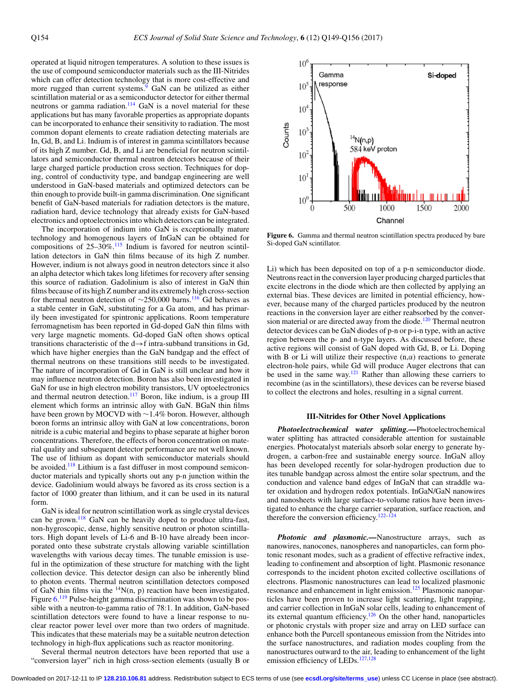operated at liquid nitrogen temperatures. A solution to these issues is the use of compound semiconductor materials such as the III-Nitrides which can offer detection technology that is more cost-effective and more rugged than current systems.<sup>9</sup> GaN can be utilized as either scintillation material or as a semiconductor detector for either thermal neutrons or gamma radiation.<sup>114</sup> GaN is a novel material for these applications but has many favorable properties as appropriate dopants can be incorporated to enhance their sensitivity to radiation. The most common dopant elements to create radiation detecting materials are In, Gd, B, and Li. Indium is of interest in gamma scintillators because of its high Z number. Gd, B, and Li are beneficial for neutron scintillators and semiconductor thermal neutron detectors because of their large charged particle production cross section. Techniques for doping, control of conductivity type, and bandgap engineering are well understood in GaN-based materials and optimized detectors can be thin enough to provide built-in gamma discrimination. One significant benefit of GaN-based materials for radiation detectors is the mature, radiation hard, device technology that already exists for GaN-based electronics and optoelectronics into which detectors can be integrated.

The incorporation of indium into GaN is exceptionally mature technology and homogenous layers of InGaN can be obtained for compositions of  $25-30\%$ .<sup>[115](#page-7-29)</sup> Indium is favored for neutron scintillation detectors in GaN thin films because of its high Z number. However, indium is not always good in neutron detectors since it also an alpha detector which takes long lifetimes for recovery after sensing this source of radiation. Gadolinium is also of interest in GaN thin films because of its high Z number and its extremely high cross-section for thermal neutron detection of  $\sim$ 250,000 barns.<sup>116</sup> Gd behaves as a stable center in GaN, substituting for a Ga atom, and has primarily been investigated for spintronic applications. Room temperature ferromagnetism has been reported in Gd-doped GaN thin films with very large magnetic moments. Gd-doped GaN often shows optical transitions characteristic of the  $d \rightarrow f$  intra-subband transitions in Gd, which have higher energies than the GaN bandgap and the effect of thermal neutrons on these transitions still needs to be investigated. The nature of incorporation of Gd in GaN is still unclear and how it may influence neutron detection. Boron has also been investigated in GaN for use in high electron mobility transistors, UV optoelectronics and thermal neutron detection.<sup>117</sup> Boron, like indium, is a group III element which forms an intrinsic alloy with GaN. BGaN thin films have been grown by MOCVD with ∼1.4% boron. However, although boron forms an intrinsic alloy with GaN at low concentrations, boron nitride is a cubic material and begins to phase separate at higher boron concentrations. Therefore, the effects of boron concentration on material quality and subsequent detector performance are not well known. The use of lithium as dopant with semiconductor materials should be avoided.<sup>118</sup> Lithium is a fast diffuser in most compound semiconductor materials and typically shorts out any p-n junction within the device. Gadolinium would always be favored as its cross section is a factor of 1000 greater than lithium, and it can be used in its natural form.

GaN is ideal for neutron scintillation work as single crystal devices can be grown.<sup>118</sup> GaN can be heavily doped to produce ultra-fast, non-hygroscopic, dense, highly sensitive neutron or photon scintillators. High dopant levels of Li-6 and B-10 have already been incorporated onto these substrate crystals allowing variable scintillation wavelengths with various decay times. The tunable emission is useful in the optimization of these structure for matching with the light collection device. This detector design can also be inherently blind to photon events. Thermal neutron scintillation detectors composed of GaN thin films via the  ${}^{14}N(n, p)$  reaction have been investigated, Figure [6.](#page-5-0)<sup>[119](#page-7-33)</sup> Pulse-height gamma discrimination was shown to be possible with a neutron-to-gamma ratio of 78:1. In addition, GaN-based scintillation detectors were found to have a linear response to nuclear reactor power level over more than two orders of magnitude. This indicates that these materials may be a suitable neutron detection technology in high-flux applications such as reactor monitoring.

Several thermal neutron detectors have been reported that use a "conversion layer" rich in high cross-section elements (usually B or

<span id="page-5-0"></span>

**Figure 6.** Gamma and thermal neutron scintillation spectra produced by bare Si-doped GaN scintillator.

Li) which has been deposited on top of a p-n semiconductor diode. Neutrons react in the conversion layer producing charged particles that excite electrons in the diode which are then collected by applying an external bias. These devices are limited in potential efficiency, however, because many of the charged particles produced by the neutron reactions in the conversion layer are either reabsorbed by the conver-sion material or are directed away from the diode.<sup>[120](#page-7-34)</sup> Thermal neutron detector devices can be GaN diodes of p-n or p-i-n type, with an active region between the p- and n-type layers. As discussed before, these active regions will consist of GaN doped with Gd, B, or Li. Doping with B or Li will utilize their respective  $(n, \alpha)$  reactions to generate electron-hole pairs, while Gd will produce Auger electrons that can be used in the same way.<sup>121</sup> Rather than allowing these carriers to recombine (as in the scintillators), these devices can be reverse biased to collect the electrons and holes, resulting in a signal current.

## **III-Nitrides for Other Novel Applications**

*Photoelectrochemical water splitting.—*Photoelectrochemical water splitting has attracted considerable attention for sustainable energies. Photocatalyst materials absorb solar energy to generate hydrogen, a carbon-free and sustainable energy source. InGaN alloy has been developed recently for solar-hydrogen production due to ites tunable bandgap across almost the entire solar spectrum, and the conduction and valence band edges of InGaN that can straddle water oxidation and hydrogen redox potentials. InGaN/GaN nanowires and nanosheets with large surface-to-volume ratios have been investigated to enhance the charge carrier separation, surface reaction, and therefore the conversion efficiency.<sup>[122–](#page-7-36)[124](#page-7-37)</sup>

*Photonic and plasmonic.*—Nanostructure arrays, such as nanowires, nanocones, nanospheres and nanoparticles, can form photonic resonant modes, such as a gradient of effective refractive index, leading to confinement and absorption of light. Plasmonic resonance corresponds to the incident photon excited collective oscillations of electrons. Plasmonic nanostructures can lead to localized plasmonic resonance and enhancement in light emission.<sup>[125](#page-7-38)</sup> Plasmonic nanoparticles have been proven to increase light scattering, light trapping, and carrier collection in InGaN solar cells, leading to enhancement of its external quantum efficiency.<sup>126</sup> On the other hand, nanoparticles or photonic crystals with proper size and array on LED surface can enhance both the Purcell spontaneous emission from the Nitrides into the surface nanostructures, and radiation modes coupling from the nanostructures outward to the air, leading to enhancement of the light emission efficiency of LEDs.<sup>127,12</sup>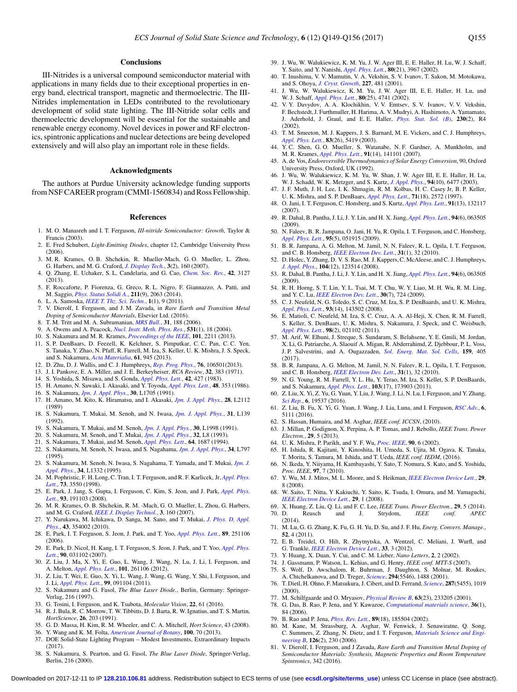## **Conclusions**

III-Nitrides is a universal compound semiconductor material with applications in many fields due to their exceptional properties in energy band, electrical transport, magnetic and thermoelectric. The III-Nitrides implementation in LEDs contributed to the revolutionary development of solid state lighting. The III-Nitride solar cells and thermoelectric development will be essential for the sustainable and renewable energy economy. Novel devices in power and RF electronics, spintronic applications and nuclear detections are being developed extensively and will also play an important role in these fields.

#### **Acknowledgments**

The authors at Purdue University acknowledge funding supports from NSF CAREER program (CMMI-1560834) and Ross Fellowship.

#### **References**

- <span id="page-6-0"></span>1. M. O. Manasreh and I. T. Ferguson, *III-nitride Semiconductor: Growth*, Taylor & Francis (2003).
- <span id="page-6-1"></span>2. E. Fred Schubert, *Light-Emitting Diodes*, chapter 12, Cambridge University Press (2006).
- 3. M. R. Krames, O. B. Shchekin, R. Mueller-Mach, G. O. Mueller, L. Zhou, G. Harbers, and M. G. Craford, *[J. Display Tech.](http://dx.doi.org/10.1109/JDT.2007.895339)*, **3**(2), 160 (2007).
- 4. Q. Zhang, E. Uchaker, S. L. Candelaria, and G. Cao, *[Chem. Soc. Rev.](http://dx.doi.org/10.1039/c3cs00009e)*, **42**, 3127 (2013).
- 5. F. Roccaforte, P. Fiorenza, G. Greco, R. L. Nigro, F. Giannazzo, A. Patti, and M. Saggio, *[Phys. Status Solidi A.](http://dx.doi.org/10.1002/pssa.201300558)*, **211**(9), 2063 (2014).
- 6. L. A. Samoska, *[IEEE T. Thz. Sci. Techn.](http://dx.doi.org/10.1109/TTHZ.2011.2159558)*, **1**(1), 9 (2011).
- 7. V. Dierolf, I. Ferguson, and J. M. Zavada, in *Rare Earth and Transition Metal Doping of Semiconductor Materials*, Elsevier Ltd. (2016).
- 8. T. M. Tritt and M. A. Subramanian, *[MRS Bull.](http://dx.doi.org/10.1557/mrs2006.44)*, **31**, 188 (2006).
- 9. A. Owens and A. Peacock, *[Nucl. Instr. Meth. Phys. Res.](http://dx.doi.org/10.1016/j.nima.2004.05.071)*, **531**(1), 18 (2004).
- 10. S. Nakamura and M. R. Krames, *[Proceedings of the IEEE](http://dx.doi.org/10.1109/JPROC.2013.2274929)*, **101**, 2211 (2013).
- 11. S. P. DenBaars, D. Feezell, K. Kelchner, S. Pimputkar, C. C. Pan, C. C. Yen, S. Tanaka, Y. Zhao, N. Pfaff, R. Farrell, M. Iza, S. Keller, U. K. Mishra, J. S. Speck, and S. Nakamura, *[Acta Materialia](http://dx.doi.org/10.1016/j.actamat.2012.10.042)*, **61**, 945 (2013).
- 12. D. Zhu, D. J. Wallis, and C. J. Humphreys, *[Rep. Prog. Phys.](http://dx.doi.org/10.1088/0034-4885/76/10/106501)*, **76**, 106501(2013).
- 13. J. I. Pankove, E. A. Miller, and J. E. Berkeyheiser, *RCA Review*, **32**, 383 (1971).
- 14. S. Yoshida, S. Misawa, and S. Gonda, *[Appl. Phys. Lett.](http://dx.doi.org/10.1063/1.93952)*, **42**, 427 (1983).
- 15. H. Amano, N. Sawaki, I. Akasaki, and Y. Toyoda, *[Appl. Phys. Lett.](http://dx.doi.org/10.1063/1.96549)*, **48**, 353 (1986).
- 16. S. Nakamura, *[Jpn. J. Appl. Phys.](http://dx.doi.org/10.1143/JJAP.30.L1705)*, **30**, L1705 (1991).
- 17. H. Amano, M. Kito, K. Hiramatsu, and I. Akasaki, *[Jpn. J. Appl. Phys.](http://dx.doi.org/10.1143/JJAP.28.L2112)*, **28**, L2112 (1989)
- <span id="page-6-11"></span>18. S. Nakamura, T. Mukai, M. Senoh, and N. Iwasa, *[Jpn. J. Appl. Phys.](http://dx.doi.org/10.1143/JJAP.31.L139)*, **31**, L139 (1992).
- 19. S. Nakamura, T. Mukai, and M. Senoh, *[Jpn. J. Appl. Phys.](http://dx.doi.org/10.1143/JJAP.30.L1998)*, **30**, L1998 (1991).
- 20. S. Nakamura, M. Senoh, and T. Mukai, *[Jpn. J. Appl. Phys.](http://dx.doi.org/10.1143/JJAP.32.L8)*, **32**, L8 (1993).
- 21. S. Nakamura, T. Mukai, and M. Senoh, *[Appl. Phys. Lett.](http://dx.doi.org/10.1063/1.111832)*, **64**, 1687 (1994).
- 22. S. Nakamura, M. Senoh, N. Iwasa, and S. Nagahama, *[Jpn. J. Appl. Phys.](http://dx.doi.org/10.1143/JJAP.34.L797)*, **34**, L797 (1995).
- <span id="page-6-14"></span>23. S. Nakamura, M. Senoh, N. Iwasa, S. Nagahama, T. Yamada, and T. Mukai, *[Jpn. J.](http://dx.doi.org/10.1143/JJAP.34.L1332) [Appl. Phys.](http://dx.doi.org/10.1143/JJAP.34.L1332)*, **34**, L1332 (1995).
- <span id="page-6-17"></span><span id="page-6-15"></span>24. M. Pophristic, F. H. Long, C. Tran, I. T. Ferguson, and R. F. Karlicek, Jr, *[Appl. Phys.](http://dx.doi.org/10.1063/1.122843) [Lett.](http://dx.doi.org/10.1063/1.122843)*, **73**, 3550 (1998).
- 25. E. Park, J. Jang, S. Gupta, I. Ferguson, C. Kim, S. Jeon, and J. Park, *[Appl. Phys.](http://dx.doi.org/10.1063/1.2998596) [Lett.](http://dx.doi.org/10.1063/1.2998596)*, **93**, 191103 (2008).
- <span id="page-6-18"></span>26. M. R. Krames, O. B. Shchekin, R. M. -Mach, G. O. Mueller, L. Zhou, G. Harbers, and M. G. Craford, *[IEEE J. Display Technol.](http://dx.doi.org/10.1109/JDT.2007.895339)*, **3**, 160 (2007).
- 27. Y. Narukawa, M. Ichikawa, D. Sanga, M. Sano, and T. Mukai, *[J. Phys. D, Appl.](http://dx.doi.org/10.1088/0022-3727/43/35/354002) [Phys.](http://dx.doi.org/10.1088/0022-3727/43/35/354002)*, **43**, 354002 (2010).
- <span id="page-6-21"></span><span id="page-6-20"></span>28. E. Park, I. T. Ferguson, S. Jeon, J. Park, and T. Yoo, *[Appl. Phys. Lett.](http://dx.doi.org/10.1063/1.2410229)*, **89**, 251106 (2006).
- 29. E. Park, D. Nicol, H. Kang, I. T. Ferguson, S. Jeon, J. Park, and T. Yoo, *[Appl. Phys.](http://dx.doi.org/10.1063/1.2431717) [Lett.](http://dx.doi.org/10.1063/1.2431717)*, **90**, 031102 (2007).
- 30. Z. Liu, J. Ma, X. Yi, E. Guo, L. Wang, J. Wang, N. Lu, J. Li, I. Ferguson, and A. Melton, *[Appl. Phys. Lett.](http://dx.doi.org/10.1063/1.4773187)*, **101**, 261106 (2012).
- 31. Z. Liu, T. Wei, E. Guo, X. Yi, L. Wang, J. Wang, G. Wang, Y. Shi, I. Ferguson, and J. Li, *[Appl. Phys. Lett.](http://dx.doi.org/10.1063/1.3605572)*, **99**, 091104 (2011).
- <span id="page-6-22"></span>32. S. Nakamura and G. Fasol, *The Blue Laser Diode.*, Berlin, Germany: Springer-Verlag, 216 (1997).
- <span id="page-6-23"></span>33. G. Tosini, I. Ferguson, and K. Tsubota, *Molecular Vision*, **22**, 61 (2016).
- 34. R. J. Bula, R. C. Morrow, T. W. Tibbitts, D. J. Barta, R. W. Ignatius, and T. S. Martin, *HortScience*, **26**, 203 (1991).
- <span id="page-6-25"></span>35. G. D. Massa, H. Kim, R. M. Wheeler, and C. A. Mitchell, *Hort Science*, 43 (2008).
- 36. Y. Wang and K. M. Folta, *[American Journal of Botany](http://dx.doi.org/10.3732/ajb.1200354)*, **100**, 70 (2013).
- 37. DOE Solid-State Lighting Program Modest Investments, Extraordinary Impacts (2017).
- 38. S. Nakamura, S. Pearton, and G. Fasol, *The Blue Laser Diode*, Springer-Verlag, Berlin, 216 (2000).
- 39. J. Wu, W. Walukiewicz, K. M. Yu, J. W. Ager III, E. E. Haller, H. Lu, W. J. Schaff, Y. Saito, and Y. Nanishi, *[Appl. Phys. Lett.](http://dx.doi.org/10.1063/1.1482786)*, **80**(21), 3967 (2002).
- 40. T. Inushima, V. V. Mamutin, V. A. Vekshin, S. V. Ivanov, T. Sakon, M. Motokawa, and S. Ohoya, *[J. Cryst. Growth](http://dx.doi.org/10.1016/S0022-0248(01)00747-3)*, **227**, 481 (2001).
- 41. J. Wu, W. Walukiewicz, K. M. Yu, J. W. Ager III, E. E. Haller, H. Lu, and
- <span id="page-6-28"></span><span id="page-6-27"></span>W. J. Schaff, *[Appl. Phys. Lett.](http://dx.doi.org/10.1063/1.1489481)*, **80**(25), 4741 (2002). 42. V. Y. Davydov, A. A. Klochikhin, V. V. Emtsev, S. V. Ivanov, V. V. Vekshin, F. Bechstedt, J. Furthmuller, H. Harima, A. V. Mudryi, A. Hashimoto, A. Yamamato, J. Aderhold, J. Graul, and E. E. Haller, *[Phys. Stat. Sol. \(B\)](http://dx.doi.org/10.1002/1521-3951(200204)230:2%3cR4::AID-PSSB99994%3e3.0.CO;2-Z)*, **230**(2), R4 (2002).
- <span id="page-6-42"></span><span id="page-6-29"></span>43. T. M. Smeeton, M. J. Kappers, J. S. Barnard, M. E. Vickers, and C. J. Humphreys, *[Appl. Phys. Lett.](http://dx.doi.org/10.1063/1.1636534)*, **83**(26), 5419 (2003).
- <span id="page-6-30"></span>44. Y. C. Shen, G. O. Mueller, S. Watanabe, N. F. Gardner, A. Munkholm, and M. R. Krames, *[Appl. Phys. Lett.](http://dx.doi.org/10.1063/1.2785135)*, **91**(14), 141101 (2007).
- <span id="page-6-31"></span>45. A. de Vos, *Endoreversible Thermodynamics of Solar Energy Conversion*, 90, Oxford University Press, Oxford, UK (1992).
- 46. J. Wu, W. Walukiewicz, K. M. Yu, W. Shan, J. W. Ager III, E. E. Haller, H. Lu, W. J. Schadd, W. K. Metzger, and S. Kurtz, *[J. Appl. Phys.](http://dx.doi.org/10.1063/1.1618353)*, **94**(10), 6477 (2003).
- <span id="page-6-33"></span><span id="page-6-32"></span>47. J. F. Muth, J. H. Lee, I. K. Shmagin, R. M. Kolbas, H. C. Casey Jr, B. P. Keller, U. K. Mishra, and S. P. DenBaars, *[Appl. Phys. Lett.](http://dx.doi.org/10.1063/1.120191)*, **71**(18), 2572 (1997).
- <span id="page-6-34"></span>48. O. Jani, I. T. Ferguson, C. Honsberg, and S. Kurtz, *[Appl. Phys. Lett.](http://dx.doi.org/10.1063/1.2793180)*, **91**(13), 132117 (2007).
- 49. R. Dahal, B. Pantha, J. Li, J. Y. Lin, and H. X. Jiang, *[Appl. Phys. Lett.](http://dx.doi.org/10.1063/1.3081123)*, **94**(6), 063505 (2009).
- <span id="page-6-43"></span><span id="page-6-41"></span>50. N. Faleev, B. R. Jampana, O. Jani, H. Yu, R. Opila, I. T. Ferguson, and C. Honsberg, *[Appl. Phys. Lett.](http://dx.doi.org/10.1063/1.3202409)*, **95**(5), 051915 (2009).
- <span id="page-6-44"></span>51. B. R. Jampana, A. G. Melton, M. Jamil, N. N. Faleev, R. L. Opila, I. T. Ferguson, and C. B. Honsberg, *[IEEE Electron Dev. Lett.](http://dx.doi.org/10.1109/LED.2009.2034280)*, **31**(1), 32 (2010).
- <span id="page-6-45"></span>52. D. Holec, Y. Zhang, D. V. S. Rao, M. J. Kappers, C. McAleese, and C. J. Humphreys, *[J. Appl. Phys.](http://dx.doi.org/10.1063/1.3033553)*, **104**(12), 123514 (2008).
- <span id="page-6-2"></span>53. R. Dahal, B. Pantha, J. Li, J. Y. Lin, and H. X. Jiang, *[Appl. Phys. Lett.](http://dx.doi.org/10.1063/1.3081123)*, **94**(6), 063505 (2009).
- <span id="page-6-36"></span><span id="page-6-35"></span>54. R. H. Horng, S. T. Lin, Y. L. Tsai, M. T. Chu, W. Y. Liao, M. H. Wu, R. M. Ling, and Y. C. Lu, *[IEEE Electron Dev. Lett.](http://dx.doi.org/10.1109/LED.2009.2021414)*, **30**(7), 724 (2009).
- 55. C. J. Neufeld, N. G. Toledo, S. C. Cruz, M. Iza, S. P. DenBaards, and U. K. Mishra, *[Appl. Phys. Lett.](http://dx.doi.org/10.1063/1.2988894)*, **93**(14), 143502 (2008).
- <span id="page-6-37"></span>56. E. Matioli, C. Neufeld, M. Iza, S. C. Cruz, A. A. Al-Heji, X. Chen, R. M. Farrell, S. Keller, S. DenBaars, U. K. Mishra, S. Nakamura, J. Speck, and C. Weisbuch, *[Appl. Phys. Lett.](http://dx.doi.org/10.1063/1.3540501)*, **98**(2), 021102 (2011).
- <span id="page-6-38"></span><span id="page-6-4"></span><span id="page-6-3"></span>57. M. Arif, W. Elhuni, J. Streque, S. Sundaram, S. Belahsene, Y. E. Gmili, M. Jordan, X. Li, G. Patriarche, A. Slaouif A. Migan, R. Abderrahimd, Z. Djebbour, P. L. Voss, J. P. Salvestrini, and A. Ougazzaden, *Sol. [Energ. Mat. Sol. Cells](http://dx.doi.org/10.1016/j.solmat.2016.09.030)*, **159**, 405  $(2017)$
- <span id="page-6-39"></span><span id="page-6-7"></span><span id="page-6-6"></span><span id="page-6-5"></span>58. B. R. Jampana, A. G. Melton, M. Jamil, N. N. Faleev, R. L. Opila, I. T. Ferguson, and C. B. Honsberg, *[IEEE Electron Dev. Lett.](http://dx.doi.org/10.1109/LED.2009.2034280)*, **31**(1), 32 (2010).
- <span id="page-6-9"></span><span id="page-6-8"></span>59. N. G. Young, R. M. Farrell, Y. L. Hu, Y. Terao, M. Iza, S. Kellet, S. P. DenBaards, and S. Nakamura, *[Appl. Phys. Lett.](http://dx.doi.org/10.1063/1.4826483)*, **103**(17), 173903 (2013).
- <span id="page-6-46"></span><span id="page-6-40"></span><span id="page-6-10"></span>Z. Liu, X. Yi, Z. Yu, G. Yuan, Y. Liu, J. Wang, J. Li, N. Lu, I. Ferguson, and Y. Zhang, *[Sci Rep.](http://dx.doi.org/10.1038/srep19537)*, **6**, 19537 (2016).
- <span id="page-6-47"></span>61. Z. Liu, B. Fu, X. Yi, G. Yuan, J. Wang, J. Lia, Luna, and I. Ferguson, *[RSC Adv.](http://dx.doi.org/10.1039/C5RA24642C)*, **6**, 5111 (2016).
- <span id="page-6-48"></span>62. S. Hassan, Humaira, and M. Asghar, *IEEE conf. ICCSN*, (2010).
- <span id="page-6-12"></span>63. J. Millan, P. Godignon, X. Perpina, A. P. Tomas, and J. Rebollo, *IEEE Trans. Power Electron.*, **29**, 5 (2013).
- <span id="page-6-50"></span><span id="page-6-13"></span>64. U. K. Mishra, P. Parikh, and Y. F. Wu, *[Proc. IEEE](http://dx.doi.org/10.1109/JPROC.2002.1021567)*, **90**, 6 (2002).
- <span id="page-6-49"></span>65. H. Ishida, R. Kajitani, Y. Kinoshita, H. Umeda, S. Ujita, M. Ogava, K. Tanaka, T. Morita, S. Tamura, M. Ishida, and T. Ueda, *IEEE conf. IEDM*, (2016).
- <span id="page-6-51"></span>66. N. Ikeda, Y. Niiyama, H. Kambayashi, Y. Sato, T. Nomura, S. Kato, and S. Yoshida, *Proc. IEEE*, **97**, 7 (2010).
- 67. Y. Wu, M. J. Mitos, M. L. Moore, and S. Heikman, *[IEEE Electron Device Lett.](http://dx.doi.org/10.1109/LED.2007.910796)*, **29**, 8 (2008).
- <span id="page-6-52"></span>68. W. Saito, T. Nitta, Y Kakiuchi, Y. Saito, K. Tsuda, I. Omura, and M. Yamaguchi, *[IEEE Electron Device Lett.](http://dx.doi.org/10.1109/LED.2007.910796)*, **29**, 1 (2008).
- <span id="page-6-19"></span>69. X. Huang, Z. Liu, Q. Li, and F. C. Lee, *IEEE Trans. Power Electron.*, **29**, 5 (2014). 70. D. Reusch and J. Strydom, *IEEE conf. APEC*
- <span id="page-6-54"></span><span id="page-6-53"></span>(2014).
- <span id="page-6-55"></span>71. M. Lu, G. G. Zhang, K. Fu, G. H. Yu, D. Su, and J. F. Hu, *Energ. Convers. Manage.*, **52**, 4 (2011).
- 72. E. B. Treidel, O. Hilt, R. Zhytnytska, A. Wentzel, C. Meliani, J. Wurfl, and G. Trankle, *[IEEE Electron Device Lett.](http://dx.doi.org/10.1109/LED.2011.2179456)*, **33**, 3 (2012).
- 73. Y. Huang, X. Duan, Y. Cui, and C. M. Lieber, *Nano Letters*, **2**, 2 (2002).
- <span id="page-6-59"></span><span id="page-6-58"></span><span id="page-6-57"></span><span id="page-6-56"></span>74. J. Gassmann, P. Watson, L. Kehias, and G. Henry, *IEEE conf. MTT-S* (2007).
- <span id="page-6-16"></span>75. S. Wolf, D. Awschalom, R. Buhrman, J. Daughton, S. Molnar, M. Roukes, A. Chtchelkanova, and D. Treger, *[Science](http://dx.doi.org/10.1126/science.1065389)*, **294**(5546), 1488 (2001).
- 76. T. Dietl, H. Ohno, F. Matsukura, J. Cibert, and D. Ferrand, *[Science](http://dx.doi.org/10.1126/science.287.5455.1019)*, **287**(5455), 1019 (2000).
- <span id="page-6-61"></span>77. M. Schilfgaarde and O. Mryasov, *[Physical Review B](http://dx.doi.org/10.1103/PhysRevB.63.233205)*, **63**(23), 233205 (2001).
- <span id="page-6-24"></span>78. G. Das, B. Rao, P. Jena, and Y. Kawazoe, *[Computational materials science](http://dx.doi.org/10.1016/j.commatsci.2005.07.004)*, **36**(1),
- <span id="page-6-64"></span><span id="page-6-63"></span><span id="page-6-62"></span>84 (2006).
- 79. B. Rao and P. Jena, *[Phys. Rev. Lett.](http://dx.doi.org/10.1103/PhysRevLett.89.185504)*, **89**(18), 185504 (2002).
- <span id="page-6-26"></span>80. M. Kane, M. Strassburg, A. Asghar, W. Fenwick, J. Senawiratne, Q. Song, C. Summers, Z. Zhang, N. Dietz, and I. T. Ferguson, *[Materials Science and Engi](http://dx.doi.org/10.1016/j.mseb.2005.09.056)[neering B](http://dx.doi.org/10.1016/j.mseb.2005.09.056)*, **126**(2), 230 (2006).
- <span id="page-6-65"></span><span id="page-6-60"></span>81. V. Dierolf, I. Ferguson, and J Zavada, *Rare Earth and Transition Metal Doping of Semiconductor Materials: Synthesis, Magnetic Properties and Room Temperature Spintronics*, 342 (2016).